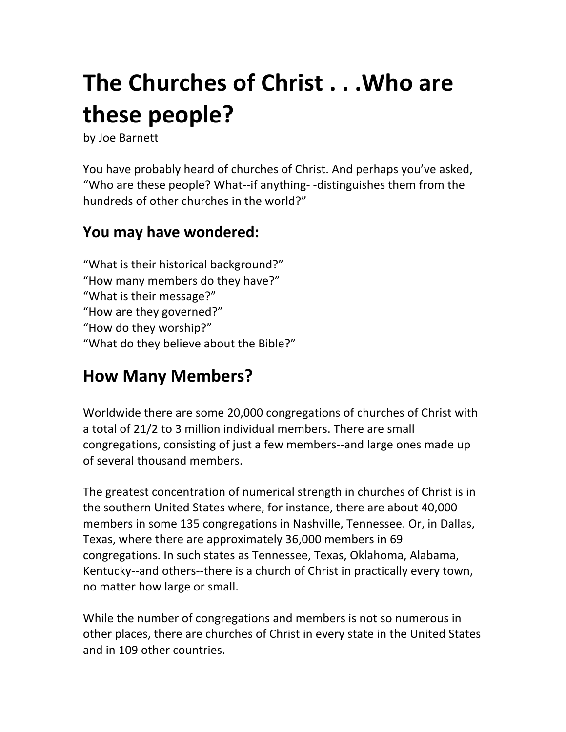# **The Churches of Christ . . . Who are these\$people?**

by Joe Barnett

You have probably heard of churches of Christ. And perhaps you've asked, "Who are these people? What--if anything--distinguishes them from the hundreds of other churches in the world?"

### **You may have wondered:**

"What is their historical background?" "How many members do they have?" "What is their message?" "How are they governed?" "How do they worship?" "What do they believe about the Bible?"

# **How Many Members?**

Worldwide there are some 20,000 congregations of churches of Christ with a total of 21/2 to 3 million individual members. There are small congregations, consisting of just a few members--and large ones made up of several thousand members.

The greatest concentration of numerical strength in churches of Christ is in the southern United States where, for instance, there are about 40,000 members in some 135 congregations in Nashville, Tennessee. Or, in Dallas, Texas, where there are approximately 36,000 members in 69 congregations. In such states as Tennessee, Texas, Oklahoma, Alabama, Kentucky--and others--there is a church of Christ in practically every town, no matter how large or small.

While the number of congregations and members is not so numerous in other places, there are churches of Christ in every state in the United States and in 109 other countries.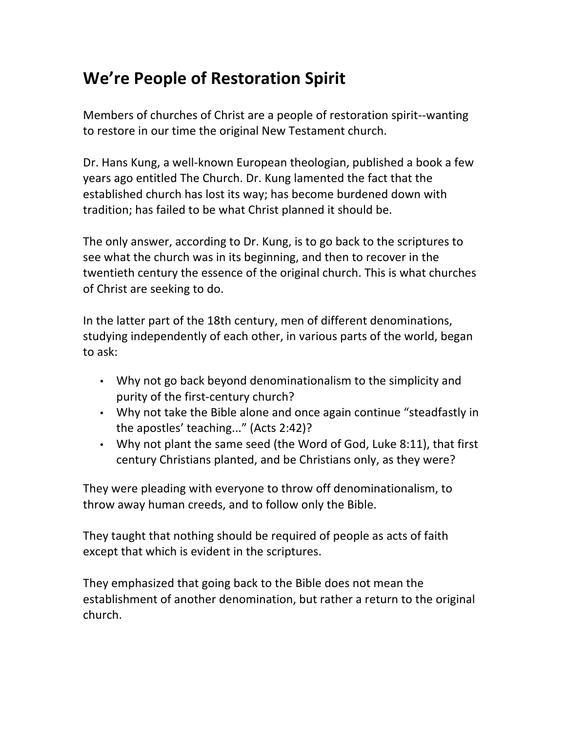## **We're People of Restoration Spirit**

Members of churches of Christ are a people of restoration spirit--wanting to restore in our time the original New Testament church.

Dr. Hans Kung, a well-known European theologian, published a book a few years ago entitled The Church. Dr. Kung lamented the fact that the established church has lost its way; has become burdened down with tradition; has failed to be what Christ planned it should be.

The only answer, according to Dr. Kung, is to go back to the scriptures to see what the church was in its beginning, and then to recover in the twentieth century the essence of the original church. This is what churches of Christ are seeking to do.

In the latter part of the 18th century, men of different denominations, studying independently of each other, in various parts of the world, began to  $ask:$ 

- Why not go back beyond denominationalism to the simplicity and purity of the first-century church?
- Why not take the Bible alone and once again continue "steadfastly in the apostles' teaching..." (Acts 2:42)?
- Why not plant the same seed (the Word of God, Luke 8:11), that first century Christians planted, and be Christians only, as they were?

They were pleading with everyone to throw off denominationalism, to throw away human creeds, and to follow only the Bible.

They taught that nothing should be required of people as acts of faith except that which is evident in the scriptures.

They emphasized that going back to the Bible does not mean the establishment of another denomination, but rather a return to the original church.#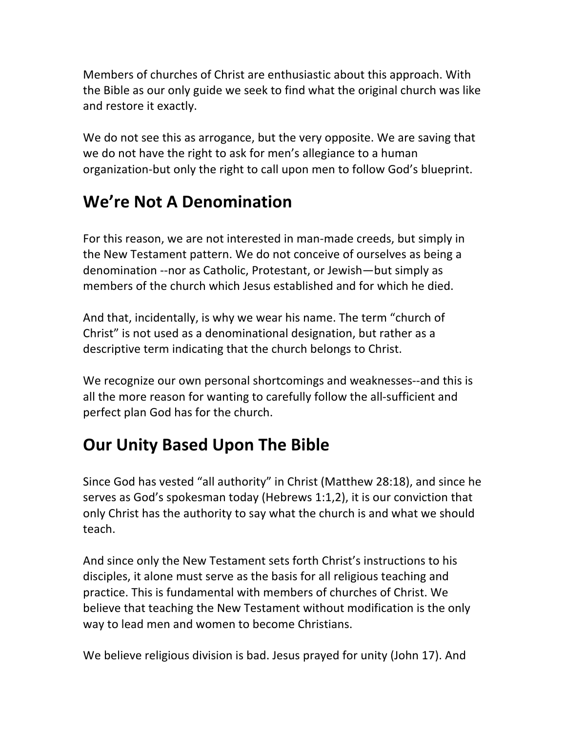Members of churches of Christ are enthusiastic about this approach. With the Bible as our only guide we seek to find what the original church was like and restore it exactly.

We do not see this as arrogance, but the very opposite. We are saving that we do not have the right to ask for men's allegiance to a human organization-but only the right to call upon men to follow God's blueprint.

# **We're Not A Denomination**

For this reason, we are not interested in man-made creeds, but simply in the New Testament pattern. We do not conceive of ourselves as being a denomination --nor as Catholic, Protestant, or Jewish—but simply as members of the church which Jesus established and for which he died.

And that, incidentally, is why we wear his name. The term "church of Christ" is not used as a denominational designation, but rather as a descriptive term indicating that the church belongs to Christ.

We recognize our own personal shortcomings and weaknesses--and this is all the more reason for wanting to carefully follow the all-sufficient and perfect plan God has for the church.

# **Our Unity Based Upon The Bible**

Since God has vested "all authority" in Christ (Matthew 28:18), and since he serves as God's spokesman today (Hebrews 1:1,2), it is our conviction that only Christ has the authority to say what the church is and what we should teach.

And since only the New Testament sets forth Christ's instructions to his disciples, it alone must serve as the basis for all religious teaching and practice. This is fundamental with members of churches of Christ. We believe that teaching the New Testament without modification is the only way to lead men and women to become Christians.

We believe religious division is bad. Jesus prayed for unity (John 17). And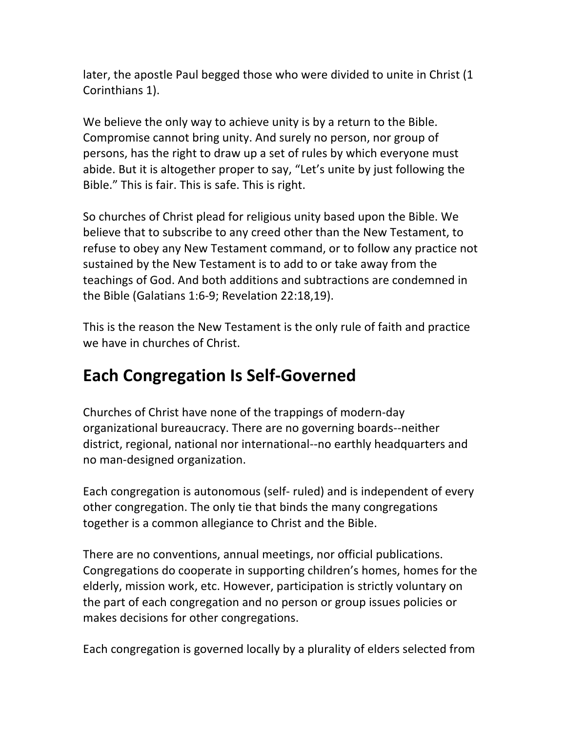later, the apostle Paul begged those who were divided to unite in Christ (1 Corinthians 1).

We believe the only way to achieve unity is by a return to the Bible. Compromise cannot bring unity. And surely no person, nor group of persons, has the right to draw up a set of rules by which everyone must abide. But it is altogether proper to say, "Let's unite by just following the Bible." This is fair. This is safe. This is right.

So churches of Christ plead for religious unity based upon the Bible. We believe that to subscribe to any creed other than the New Testament, to refuse to obey any New Testament command, or to follow any practice not sustained by the New Testament is to add to or take away from the teachings of God. And both additions and subtractions are condemned in the Bible (Galatians 1:6-9; Revelation 22:18,19).

This is the reason the New Testament is the only rule of faith and practice we have in churches of Christ.

# **Each Congregation Is Self-Governed**

Churches of Christ have none of the trappings of modern-day organizational bureaucracy. There are no governing boards--neither district, regional, national nor international--no earthly headquarters and no man-designed organization.

Each congregation is autonomous (self- ruled) and is independent of every other congregation. The only tie that binds the many congregations together is a common allegiance to Christ and the Bible.

There are no conventions, annual meetings, nor official publications. Congregations do cooperate in supporting children's homes, homes for the elderly, mission work, etc. However, participation is strictly voluntary on the part of each congregation and no person or group issues policies or makes decisions for other congregations.

Each congregation is governed locally by a plurality of elders selected from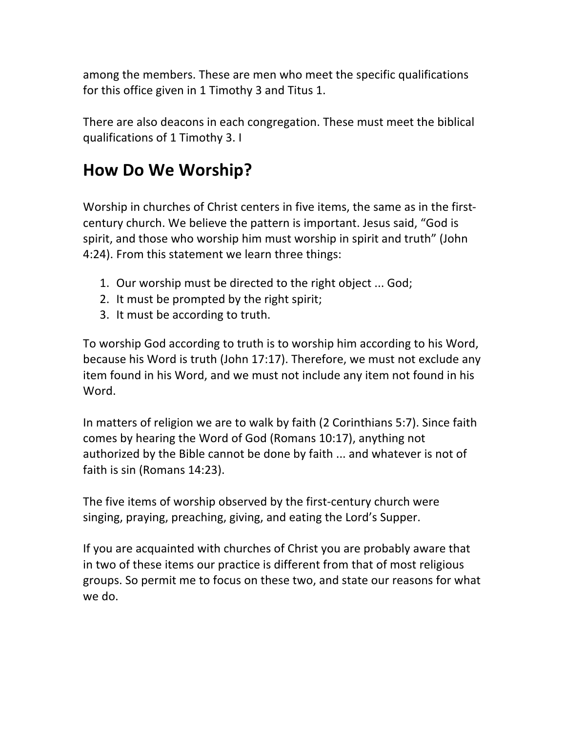among the members. These are men who meet the specific qualifications for this office given in 1 Timothy 3 and Titus 1.

There are also deacons in each congregation. These must meet the biblical qualifications of 1 Timothy 3. I

## **How Do We Worship?**

Worship in churches of Christ centers in five items, the same as in the firstcentury church. We believe the pattern is important. Jesus said, "God is spirit, and those who worship him must worship in spirit and truth" (John 4:24). From this statement we learn three things:

- 1. Our worship must be directed to the right object ... God;
- 2. It must be prompted by the right spirit;
- 3. It must be according to truth.

To worship God according to truth is to worship him according to his Word, because his Word is truth (John 17:17). Therefore, we must not exclude any item found in his Word, and we must not include any item not found in his Word.

In matters of religion we are to walk by faith (2 Corinthians 5:7). Since faith comes by hearing the Word of God (Romans  $10:17$ ), anything not authorized by the Bible cannot be done by faith ... and whatever is not of faith is sin (Romans  $14:23$ ).

The five items of worship observed by the first-century church were singing, praying, preaching, giving, and eating the Lord's Supper.

If you are acquainted with churches of Christ you are probably aware that in two of these items our practice is different from that of most religious groups. So permit me to focus on these two, and state our reasons for what we do.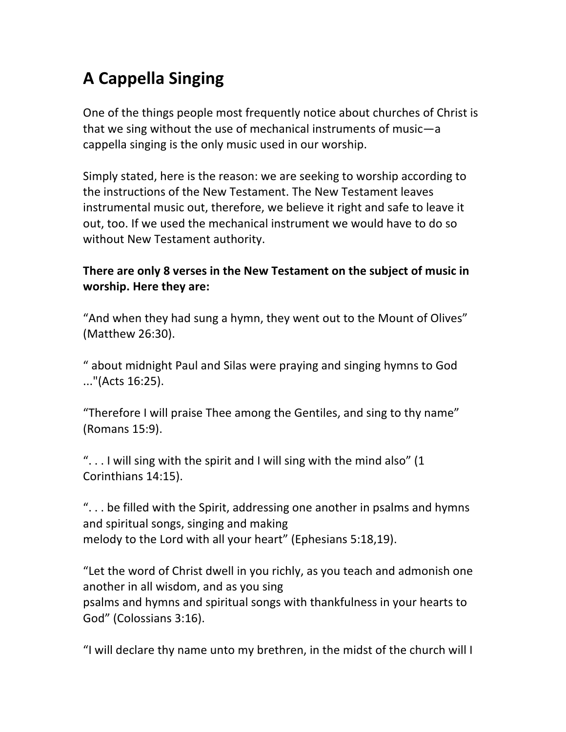# **A\$Cappella\$Singing\$**

One of the things people most frequently notice about churches of Christ is that we sing without the use of mechanical instruments of music—a cappella singing is the only music used in our worship.

Simply stated, here is the reason: we are seeking to worship according to the instructions of the New Testament. The New Testament leaves instrumental music out, therefore, we believe it right and safe to leave it out, too. If we used the mechanical instrument we would have to do so without New Testament authority.

#### There are only 8 verses in the New Testament on the subject of music in **worship. Here they are:**

"And when they had sung a hymn, they went out to the Mount of Olives" (Matthew 26:30).

" about midnight Paul and Silas were praying and singing hymns to God  $\ldots$ "(Acts 16:25).

"Therefore I will praise Thee among the Gentiles, and sing to thy name" (Romans 15:9).

".  $\ldots$  I will sing with the spirit and I will sing with the mind also" (1 Corinthians 14:15).

".  $\ldots$  be filled with the Spirit, addressing one another in psalms and hymns and spiritual songs, singing and making melody to the Lord with all your heart" (Ephesians 5:18,19).

"Let the word of Christ dwell in you richly, as you teach and admonish one another in all wisdom, and as you sing psalms and hymns and spiritual songs with thankfulness in your hearts to God" (Colossians 3:16).

"I will declare thy name unto my brethren, in the midst of the church will I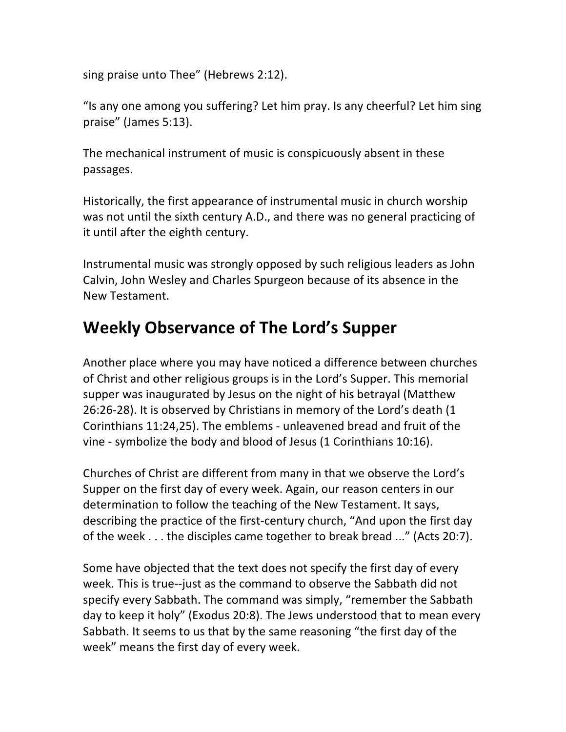sing praise unto Thee" (Hebrews 2:12).

"Is any one among you suffering? Let him pray. Is any cheerful? Let him sing praise" (James 5:13).

The mechanical instrument of music is conspicuously absent in these passages.#

Historically, the first appearance of instrumental music in church worship was not until the sixth century A.D., and there was no general practicing of it until after the eighth century.

Instrumental music was strongly opposed by such religious leaders as John Calvin, John Wesley and Charles Spurgeon because of its absence in the New Testament.

# **Weekly Observance of The Lord's Supper**

Another place where you may have noticed a difference between churches of Christ and other religious groups is in the Lord's Supper. This memorial supper was inaugurated by Jesus on the night of his betrayal (Matthew 26:26-28). It is observed by Christians in memory of the Lord's death (1 Corinthians 11:24,25). The emblems - unleavened bread and fruit of the vine - symbolize the body and blood of Jesus (1 Corinthians 10:16).

Churches of Christ are different from many in that we observe the Lord's Supper on the first day of every week. Again, our reason centers in our determination to follow the teaching of the New Testament. It says, describing the practice of the first-century church, "And upon the first day of the week . . . the disciples came together to break bread ..." (Acts 20:7).

Some have objected that the text does not specify the first day of every week. This is true--just as the command to observe the Sabbath did not specify every Sabbath. The command was simply, "remember the Sabbath day to keep it holy" (Exodus 20:8). The Jews understood that to mean every Sabbath. It seems to us that by the same reasoning "the first day of the week" means the first day of every week.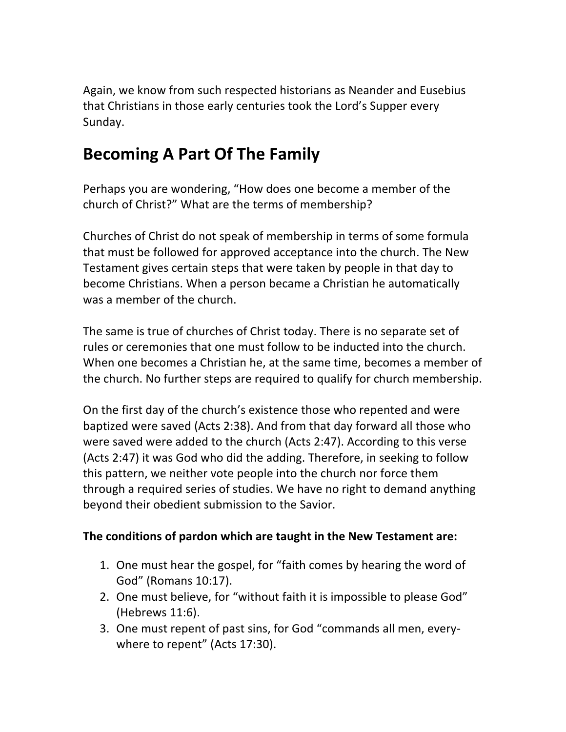Again, we know from such respected historians as Neander and Eusebius that Christians in those early centuries took the Lord's Supper every Sunday.

# **Becoming A Part Of The Family**

Perhaps you are wondering, "How does one become a member of the church of Christ?" What are the terms of membership?

Churches of Christ do not speak of membership in terms of some formula that must be followed for approved acceptance into the church. The New Testament gives certain steps that were taken by people in that day to become Christians. When a person became a Christian he automatically was a member of the church.

The same is true of churches of Christ today. There is no separate set of rules or ceremonies that one must follow to be inducted into the church. When one becomes a Christian he, at the same time, becomes a member of the church. No further steps are required to qualify for church membership.

On the first day of the church's existence those who repented and were baptized were saved (Acts 2:38). And from that day forward all those who were saved were added to the church (Acts 2:47). According to this verse (Acts 2:47) it was God who did the adding. Therefore, in seeking to follow this pattern, we neither vote people into the church nor force them through a required series of studies. We have no right to demand anything beyond their obedient submission to the Savior.

#### The conditions of pardon which are taught in the New Testament are:

- 1. One must hear the gospel, for "faith comes by hearing the word of God" (Romans 10:17).
- 2. One must believe, for "without faith it is impossible to please God" (Hebrews 11:6).
- 3. One must repent of past sins, for God "commands all men, everywhere to repent" (Acts 17:30).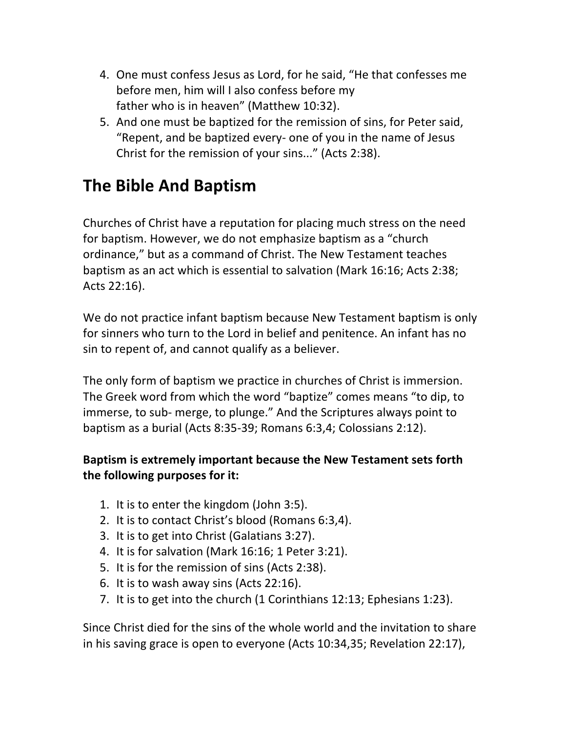- 4. One must confess Jesus as Lord, for he said, "He that confesses me before men, him will I also confess before my father who is in heaven" (Matthew 10:32).
- 5. And one must be baptized for the remission of sins, for Peter said, "Repent, and be baptized every- one of you in the name of Jesus Christ for the remission of your sins..." (Acts 2:38).

# **The Bible And Baptism**

Churches of Christ have a reputation for placing much stress on the need for baptism. However, we do not emphasize baptism as a "church" ordinance," but as a command of Christ. The New Testament teaches baptism as an act which is essential to salvation (Mark 16:16; Acts 2:38; Acts  $22:16$ ).

We do not practice infant baptism because New Testament baptism is only for sinners who turn to the Lord in belief and penitence. An infant has no sin to repent of, and cannot qualify as a believer.

The only form of baptism we practice in churches of Christ is immersion. The Greek word from which the word "baptize" comes means "to dip, to immerse, to sub- merge, to plunge." And the Scriptures always point to baptism as a burial (Acts 8:35-39; Romans 6:3,4; Colossians 2:12).

#### **Baptism is extremely important because the New Testament sets forth** the following purposes for it:

- 1. It is to enter the kingdom (John 3:5).
- 2. It is to contact Christ's blood (Romans 6:3,4).
- 3. It is to get into Christ (Galatians 3:27).
- 4. It is for salvation (Mark 16:16; 1 Peter 3:21).
- 5. It is for the remission of sins (Acts 2:38).
- 6. It is to wash away sins (Acts 22:16).
- 7. It is to get into the church (1 Corinthians  $12:13$ ; Ephesians 1:23).

Since Christ died for the sins of the whole world and the invitation to share in his saving grace is open to everyone (Acts  $10:34,35$ ; Revelation 22:17),